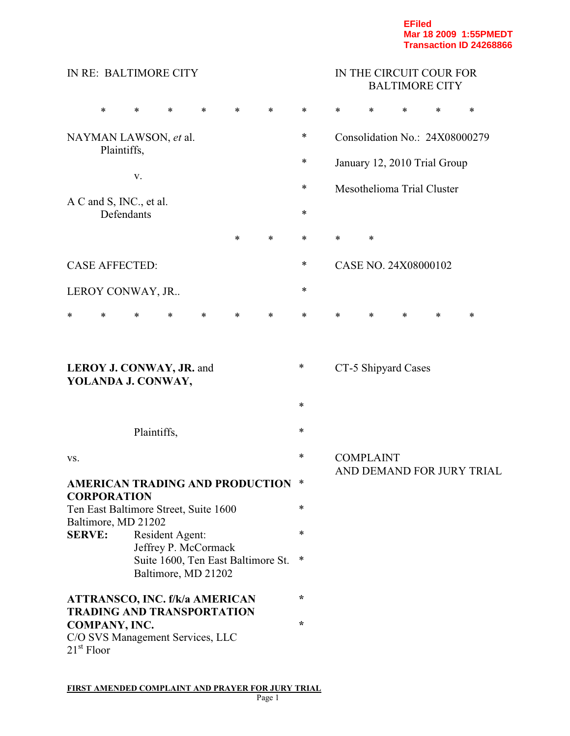|                                                              | IN RE: BALTIMORE CITY                                                             |                                                              |                 |        |        |        |        | IN THE CIRCUIT COUR FOR<br><b>BALTIMORE CITY</b> |                  |                      |                                |        |  |
|--------------------------------------------------------------|-----------------------------------------------------------------------------------|--------------------------------------------------------------|-----------------|--------|--------|--------|--------|--------------------------------------------------|------------------|----------------------|--------------------------------|--------|--|
|                                                              | $\ast$                                                                            | *                                                            | $\ast$          | $\ast$ | $\ast$ | $\ast$ | *      | *                                                | *                | *                    | $\ast$                         | $\ast$ |  |
|                                                              | Plaintiffs,                                                                       | NAYMAN LAWSON, et al.                                        |                 |        |        |        | *      |                                                  |                  |                      | Consolidation No.: 24X08000279 |        |  |
|                                                              |                                                                                   |                                                              |                 |        |        |        | *      |                                                  |                  |                      | January 12, 2010 Trial Group   |        |  |
|                                                              |                                                                                   | V.                                                           |                 |        |        |        | ∗      |                                                  |                  |                      | Mesothelioma Trial Cluster     |        |  |
|                                                              | Defendants                                                                        | A C and S, INC., et al.                                      |                 |        |        |        | ∗      |                                                  |                  |                      |                                |        |  |
|                                                              |                                                                                   |                                                              |                 |        | $\ast$ | *      | *      | ∗                                                | $\ast$           |                      |                                |        |  |
| <b>CASE AFFECTED:</b>                                        |                                                                                   |                                                              |                 |        |        |        | *      |                                                  |                  | CASE NO. 24X08000102 |                                |        |  |
|                                                              |                                                                                   | LEROY CONWAY, JR                                             |                 |        |        |        | ∗      |                                                  |                  |                      |                                |        |  |
| *                                                            | $\ast$                                                                            | *                                                            | $\ast$          | $\ast$ | *      | $\ast$ | *      | $\ast$                                           | $\ast$           | *                    | *                              | *      |  |
|                                                              |                                                                                   | <b>LEROY J. CONWAY, JR. and</b><br>YOLANDA J. CONWAY,        |                 |        |        |        | ∗<br>∗ |                                                  |                  | CT-5 Shipyard Cases  |                                |        |  |
|                                                              |                                                                                   | Plaintiffs,                                                  |                 |        |        |        | $\ast$ |                                                  |                  |                      |                                |        |  |
| VS.                                                          |                                                                                   |                                                              |                 |        |        |        | *      |                                                  | <b>COMPLAINT</b> |                      |                                |        |  |
| <b>AMERICAN TRADING AND PRODUCTION</b><br><b>CORPORATION</b> |                                                                                   |                                                              |                 |        |        | ∗      |        | AND DEMAND FOR JURY TRIAL                        |                  |                      |                                |        |  |
|                                                              |                                                                                   | Ten East Baltimore Street, Suite 1600<br>Baltimore, MD 21202 |                 |        |        |        | *      |                                                  |                  |                      |                                |        |  |
| <b>SERVE:</b>                                                |                                                                                   |                                                              | Resident Agent: |        |        |        | ∗      |                                                  |                  |                      |                                |        |  |
|                                                              | Jeffrey P. McCormack<br>Suite 1600, Ten East Baltimore St.<br>Baltimore, MD 21202 |                                                              |                 |        |        |        | *      |                                                  |                  |                      |                                |        |  |
|                                                              | <b>ATTRANSCO, INC. f/k/a AMERICAN</b><br><b>TRADING AND TRANSPORTATION</b>        |                                                              |                 |        |        |        | $\ast$ |                                                  |                  |                      |                                |        |  |
| COMPANY, INC.<br>$21^{\rm st}$ Floor                         |                                                                                   | C/O SVS Management Services, LLC                             |                 |        |        |        | ÷      |                                                  |                  |                      |                                |        |  |

**FIRST AMENDED COMPLAINT AND PRAYER FOR JURY TRIAL**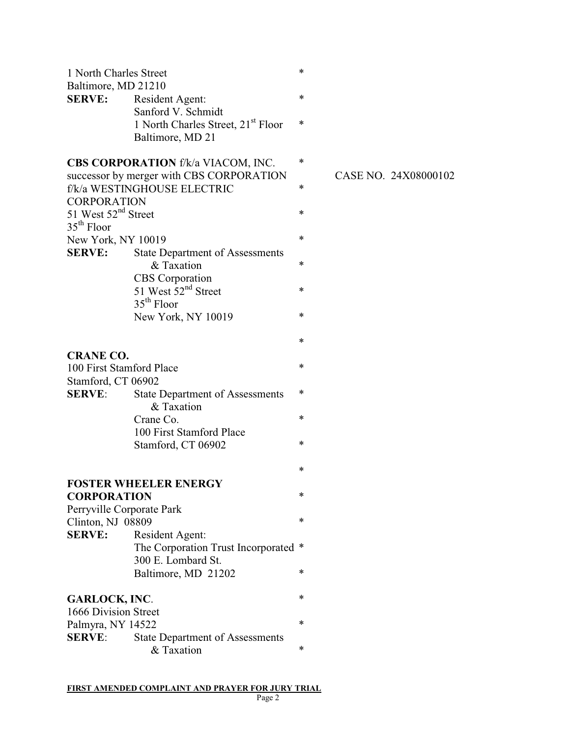| 1 North Charles Street                          |                                                      | * |
|-------------------------------------------------|------------------------------------------------------|---|
| Baltimore, MD 21210                             |                                                      |   |
| <b>SERVE:</b>                                   | Resident Agent:                                      | * |
|                                                 | Sanford V. Schmidt                                   |   |
|                                                 | 1 North Charles Street, 21 <sup>st</sup> Floor       | * |
|                                                 | Baltimore, MD 21                                     |   |
|                                                 | <b>CBS CORPORATION</b> f/k/a VIACOM, INC.            | * |
|                                                 | successor by merger with CBS CORPORATION             |   |
|                                                 | f/k/a WESTINGHOUSE ELECTRIC                          | * |
| <b>CORPORATION</b>                              |                                                      |   |
| 51 West 52 <sup>nd</sup> Street<br>$35th$ Floor |                                                      | * |
| New York, NY 10019                              |                                                      | * |
| <b>SERVE:</b>                                   | <b>State Department of Assessments</b>               |   |
|                                                 | & Taxation                                           | * |
|                                                 | <b>CBS</b> Corporation                               |   |
|                                                 | 51 West 52 <sup>nd</sup> Street                      | * |
|                                                 | $35th$ Floor                                         |   |
|                                                 | New York, NY 10019                                   | * |
|                                                 |                                                      | * |
| <b>CRANE CO.</b>                                |                                                      |   |
| 100 First Stamford Place                        |                                                      | * |
| Stamford, CT 06902                              |                                                      |   |
| <b>SERVE:</b>                                   | <b>State Department of Assessments</b><br>& Taxation | * |
|                                                 | Crane Co.                                            | * |
|                                                 | 100 First Stamford Place                             |   |
|                                                 | Stamford, CT 06902                                   | * |
|                                                 |                                                      | * |
|                                                 | <b>FOSTER WHEELER ENERGY</b>                         |   |
| <b>CORPORATION</b>                              |                                                      | * |
| Perryville Corporate Park                       |                                                      |   |
| Clinton, NJ 08809                               |                                                      | * |
| <b>SERVE:</b>                                   | Resident Agent:                                      |   |
|                                                 | The Corporation Trust Incorporated                   | ∗ |
|                                                 | 300 E. Lombard St.                                   |   |
|                                                 | Baltimore, MD 21202                                  | * |
| <b>GARLOCK, INC.</b>                            |                                                      | * |
| 1666 Division Street                            |                                                      |   |
| Palmyra, NY 14522                               |                                                      | * |
| <b>SERVE:</b>                                   | <b>State Department of Assessments</b>               |   |
|                                                 | & Taxation                                           | * |

CASE NO. 24X08000102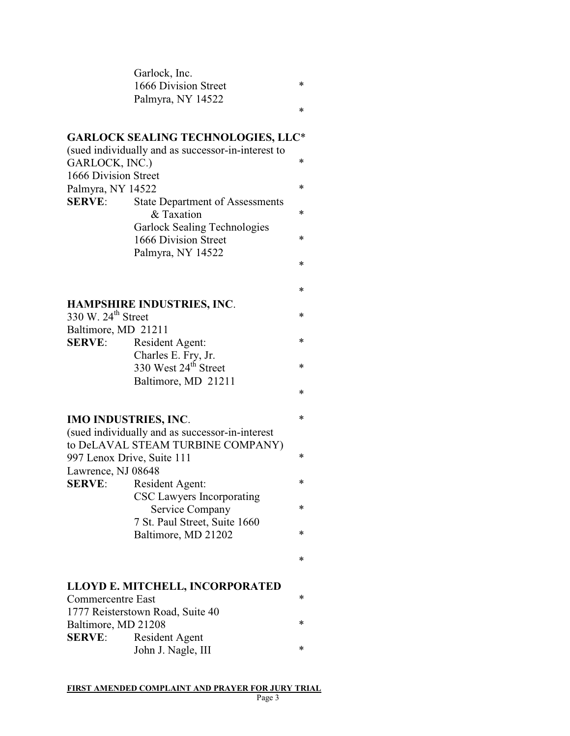| Garlock, Inc.        |        |
|----------------------|--------|
| 1666 Division Street | $\ast$ |
| Palmyra, NY 14522    |        |
|                      |        |

# **GARLOCK SEALING TECHNOLOGIES, LLC**\*

|                      | (sued individually and as successor-in-interest to |        |
|----------------------|----------------------------------------------------|--------|
| GARLOCK, INC.)       |                                                    | $\ast$ |
| 1666 Division Street |                                                    |        |
| Palmyra, NY 14522    |                                                    | $\ast$ |
| <b>SERVE:</b>        | <b>State Department of Assessments</b>             |        |
|                      | & Taxation                                         | $\ast$ |
|                      | <b>Garlock Sealing Technologies</b>                |        |
|                      | 1666 Division Street                               | $\ast$ |
|                      | Palmyra, NY 14522                                  |        |
|                      |                                                    | ∗      |

# **HAMPSHIRE INDUSTRIES, INC**.

| 330 W. $24^{\text{th}}$ Street |                                  |        |  |  |  |
|--------------------------------|----------------------------------|--------|--|--|--|
| Baltimore, MD 21211            |                                  |        |  |  |  |
| <b>SERVE:</b>                  | Resident Agent:                  | $\ast$ |  |  |  |
|                                | Charles E. Fry, Jr.              |        |  |  |  |
|                                | 330 West 24 <sup>th</sup> Street | $\ast$ |  |  |  |
|                                | Baltimore, MD 21211              |        |  |  |  |

## **IMO INDUSTRIES, INC**. \*

|                    | (sued individually and as successor-in-interest |   |  |  |  |  |  |
|--------------------|-------------------------------------------------|---|--|--|--|--|--|
|                    | to DeLAVAL STEAM TURBINE COMPANY)               |   |  |  |  |  |  |
|                    | 997 Lenox Drive, Suite 111                      | * |  |  |  |  |  |
| Lawrence, NJ 08648 |                                                 |   |  |  |  |  |  |
| <b>SERVE:</b>      | Resident Agent:                                 |   |  |  |  |  |  |
|                    | CSC Lawyers Incorporating                       |   |  |  |  |  |  |
|                    | Service Company                                 |   |  |  |  |  |  |
|                    | 7 St. Paul Street, Suite 1660                   |   |  |  |  |  |  |
|                    | Baltimore, MD 21202                             | ∗ |  |  |  |  |  |
|                    |                                                 |   |  |  |  |  |  |
|                    |                                                 | * |  |  |  |  |  |
|                    |                                                 |   |  |  |  |  |  |

#### **LLOYD E. MITCHELL, INCORPORATED**

| Commercentre East   |                                  |   |  |  |  |
|---------------------|----------------------------------|---|--|--|--|
|                     | 1777 Reisterstown Road, Suite 40 |   |  |  |  |
| Baltimore, MD 21208 |                                  |   |  |  |  |
| <b>SERVE:</b>       | Resident Agent                   |   |  |  |  |
|                     | John J. Nagle, III               | ∗ |  |  |  |

\*

\*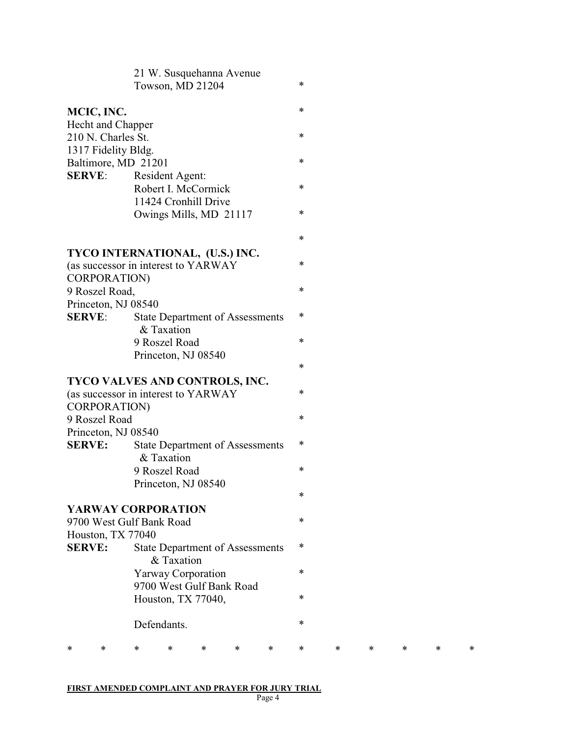|                    |                                                                                       |   | 21 W. Susquehanna Avenue<br>Towson, MD 21204         |   |   |   | *      |   |   |   |   |   |
|--------------------|---------------------------------------------------------------------------------------|---|------------------------------------------------------|---|---|---|--------|---|---|---|---|---|
| MCIC, INC.         |                                                                                       |   |                                                      |   |   |   | *      |   |   |   |   |   |
|                    | Hecht and Chapper<br>210 N. Charles St.<br>1317 Fidelity Bldg.                        |   |                                                      |   |   |   | $\ast$ |   |   |   |   |   |
|                    | Baltimore, MD 21201                                                                   |   |                                                      |   |   |   | *      |   |   |   |   |   |
| <b>SERVE:</b>      |                                                                                       |   | Resident Agent:<br>Robert I. McCormick               |   |   |   | $\ast$ |   |   |   |   |   |
|                    |                                                                                       |   | 11424 Cronhill Drive<br>Owings Mills, MD 21117       |   |   |   | $\ast$ |   |   |   |   |   |
|                    |                                                                                       |   |                                                      |   |   |   | *      |   |   |   |   |   |
|                    | TYCO INTERNATIONAL, (U.S.) INC.                                                       |   |                                                      |   |   |   | *      |   |   |   |   |   |
|                    | (as successor in interest to YARWAY<br>CORPORATION)                                   |   |                                                      |   |   |   |        |   |   |   |   |   |
|                    | 9 Roszel Road,                                                                        |   |                                                      |   |   |   | $\ast$ |   |   |   |   |   |
|                    | Princeton, NJ 08540                                                                   |   |                                                      |   |   |   |        |   |   |   |   |   |
| <b>SERVE:</b>      |                                                                                       |   | <b>State Department of Assessments</b><br>& Taxation |   |   |   | ∗      |   |   |   |   |   |
|                    |                                                                                       |   | 9 Roszel Road                                        |   |   |   | $\ast$ |   |   |   |   |   |
|                    |                                                                                       |   | Princeton, NJ 08540                                  |   |   |   |        |   |   |   |   |   |
|                    |                                                                                       |   |                                                      |   |   |   | *      |   |   |   |   |   |
|                    | TYCO VALVES AND CONTROLS, INC.<br>(as successor in interest to YARWAY<br>CORPORATION) |   |                                                      |   |   |   | ∗      |   |   |   |   |   |
|                    | 9 Roszel Road                                                                         |   |                                                      |   |   |   | $\ast$ |   |   |   |   |   |
|                    | Princeton, NJ 08540                                                                   |   |                                                      |   |   |   |        |   |   |   |   |   |
| <b>SERVE:</b>      |                                                                                       |   | <b>State Department of Assessments</b><br>& Taxation |   |   |   | $\ast$ |   |   |   |   |   |
|                    |                                                                                       |   | 9 Roszel Road                                        |   |   |   | $\ast$ |   |   |   |   |   |
|                    |                                                                                       |   | Princeton, NJ 08540                                  |   |   |   | *      |   |   |   |   |   |
|                    | <b>YARWAY CORPORATION</b>                                                             |   |                                                      |   |   |   | $\ast$ |   |   |   |   |   |
|                    | 9700 West Gulf Bank Road<br>Houston, TX 77040                                         |   |                                                      |   |   |   |        |   |   |   |   |   |
| <b>SERVE:</b>      |                                                                                       |   | <b>State Department of Assessments</b><br>& Taxation |   |   |   | ∗      |   |   |   |   |   |
|                    |                                                                                       |   | <b>Yarway Corporation</b>                            |   |   |   | $\ast$ |   |   |   |   |   |
|                    |                                                                                       |   | 9700 West Gulf Bank Road                             |   |   |   |        |   |   |   |   |   |
| Houston, TX 77040, |                                                                                       |   |                                                      |   |   | * |        |   |   |   |   |   |
|                    | Defendants.                                                                           |   |                                                      |   |   |   | *      |   |   |   |   |   |
| *                  | *                                                                                     | * | *                                                    | * | ∗ | * | *      | * | * | * | * | * |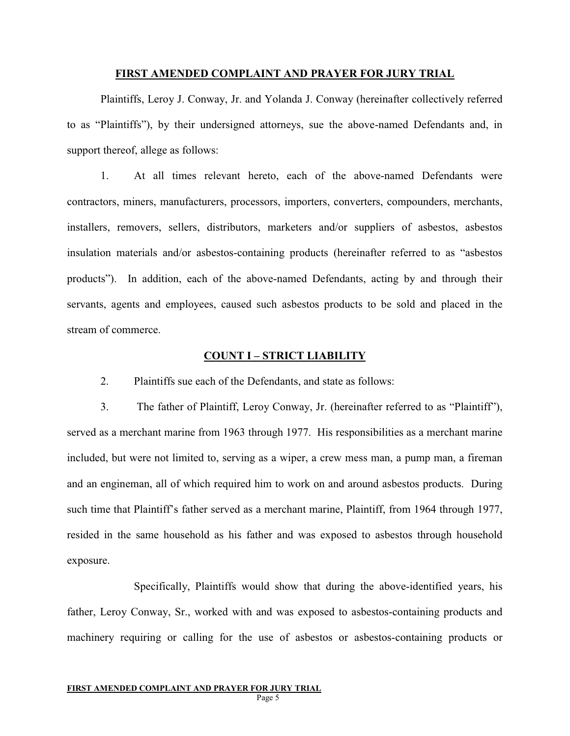#### **FIRST AMENDED COMPLAINT AND PRAYER FOR JURY TRIAL**

Plaintiffs, Leroy J. Conway, Jr. and Yolanda J. Conway (hereinafter collectively referred to as "Plaintiffs"), by their undersigned attorneys, sue the above-named Defendants and, in support thereof, allege as follows:

1. At all times relevant hereto, each of the above-named Defendants were contractors, miners, manufacturers, processors, importers, converters, compounders, merchants, installers, removers, sellers, distributors, marketers and/or suppliers of asbestos, asbestos insulation materials and/or asbestos-containing products (hereinafter referred to as "asbestos products"). In addition, each of the above-named Defendants, acting by and through their servants, agents and employees, caused such asbestos products to be sold and placed in the stream of commerce.

#### **COUNT I – STRICT LIABILITY**

2. Plaintiffs sue each of the Defendants, and state as follows:

3. The father of Plaintiff, Leroy Conway, Jr. (hereinafter referred to as "Plaintiff"), served as a merchant marine from 1963 through 1977. His responsibilities as a merchant marine included, but were not limited to, serving as a wiper, a crew mess man, a pump man, a fireman and an engineman, all of which required him to work on and around asbestos products. During such time that Plaintiff's father served as a merchant marine, Plaintiff, from 1964 through 1977, resided in the same household as his father and was exposed to asbestos through household exposure.

Specifically, Plaintiffs would show that during the above-identified years, his father, Leroy Conway, Sr., worked with and was exposed to asbestos-containing products and machinery requiring or calling for the use of asbestos or asbestos-containing products or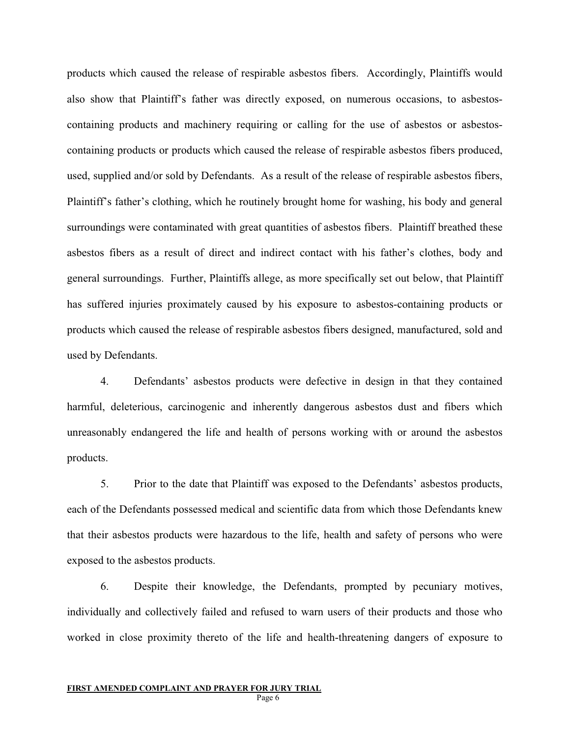products which caused the release of respirable asbestos fibers. Accordingly, Plaintiffs would also show that Plaintiff's father was directly exposed, on numerous occasions, to asbestoscontaining products and machinery requiring or calling for the use of asbestos or asbestoscontaining products or products which caused the release of respirable asbestos fibers produced, used, supplied and/or sold by Defendants. As a result of the release of respirable asbestos fibers, Plaintiff's father's clothing, which he routinely brought home for washing, his body and general surroundings were contaminated with great quantities of asbestos fibers. Plaintiff breathed these asbestos fibers as a result of direct and indirect contact with his father's clothes, body and general surroundings. Further, Plaintiffs allege, as more specifically set out below, that Plaintiff has suffered injuries proximately caused by his exposure to asbestos-containing products or products which caused the release of respirable asbestos fibers designed, manufactured, sold and used by Defendants.

4. Defendants' asbestos products were defective in design in that they contained harmful, deleterious, carcinogenic and inherently dangerous asbestos dust and fibers which unreasonably endangered the life and health of persons working with or around the asbestos products.

5. Prior to the date that Plaintiff was exposed to the Defendants' asbestos products, each of the Defendants possessed medical and scientific data from which those Defendants knew that their asbestos products were hazardous to the life, health and safety of persons who were exposed to the asbestos products.

6. Despite their knowledge, the Defendants, prompted by pecuniary motives, individually and collectively failed and refused to warn users of their products and those who worked in close proximity thereto of the life and health-threatening dangers of exposure to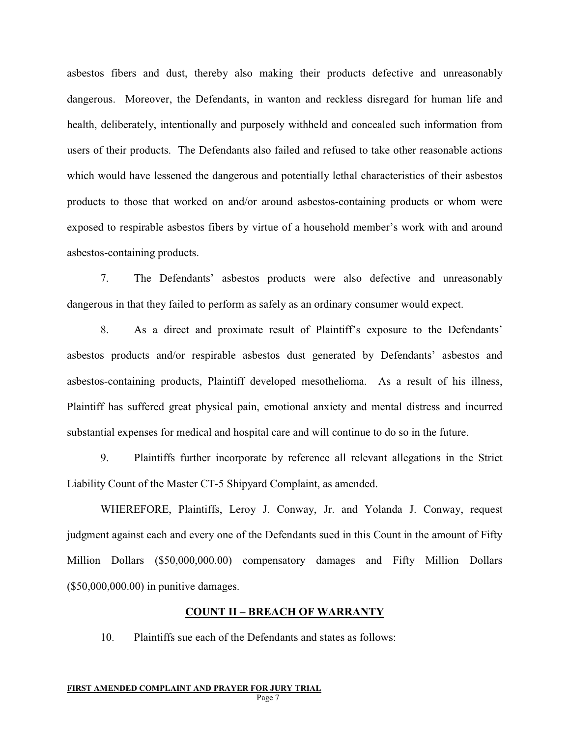asbestos fibers and dust, thereby also making their products defective and unreasonably dangerous. Moreover, the Defendants, in wanton and reckless disregard for human life and health, deliberately, intentionally and purposely withheld and concealed such information from users of their products. The Defendants also failed and refused to take other reasonable actions which would have lessened the dangerous and potentially lethal characteristics of their asbestos products to those that worked on and/or around asbestos-containing products or whom were exposed to respirable asbestos fibers by virtue of a household member's work with and around asbestos-containing products.

7. The Defendants' asbestos products were also defective and unreasonably dangerous in that they failed to perform as safely as an ordinary consumer would expect.

8. As a direct and proximate result of Plaintiff's exposure to the Defendants' asbestos products and/or respirable asbestos dust generated by Defendants' asbestos and asbestos-containing products, Plaintiff developed mesothelioma. As a result of his illness, Plaintiff has suffered great physical pain, emotional anxiety and mental distress and incurred substantial expenses for medical and hospital care and will continue to do so in the future.

9. Plaintiffs further incorporate by reference all relevant allegations in the Strict Liability Count of the Master CT-5 Shipyard Complaint, as amended.

WHEREFORE, Plaintiffs, Leroy J. Conway, Jr. and Yolanda J. Conway, request judgment against each and every one of the Defendants sued in this Count in the amount of Fifty Million Dollars (\$50,000,000.00) compensatory damages and Fifty Million Dollars (\$50,000,000.00) in punitive damages.

### **COUNT II – BREACH OF WARRANTY**

10. Plaintiffs sue each of the Defendants and states as follows: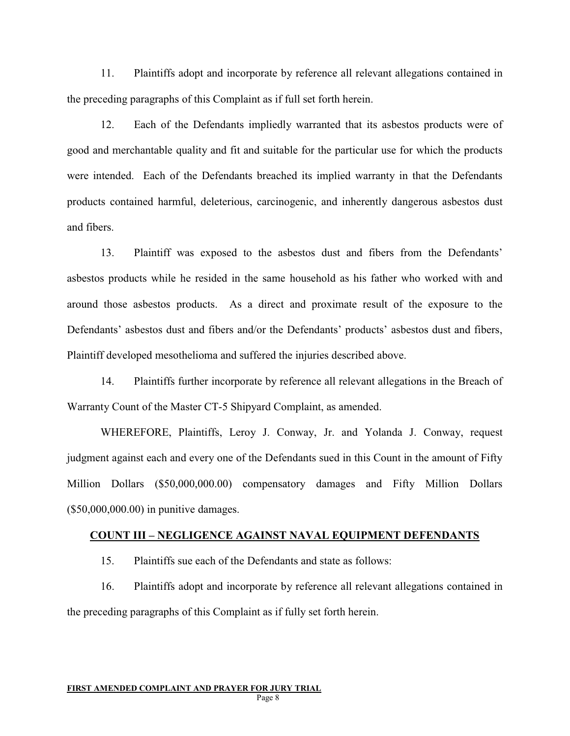11. Plaintiffs adopt and incorporate by reference all relevant allegations contained in the preceding paragraphs of this Complaint as if full set forth herein.

12. Each of the Defendants impliedly warranted that its asbestos products were of good and merchantable quality and fit and suitable for the particular use for which the products were intended. Each of the Defendants breached its implied warranty in that the Defendants products contained harmful, deleterious, carcinogenic, and inherently dangerous asbestos dust and fibers.

13. Plaintiff was exposed to the asbestos dust and fibers from the Defendants' asbestos products while he resided in the same household as his father who worked with and around those asbestos products. As a direct and proximate result of the exposure to the Defendants' asbestos dust and fibers and/or the Defendants' products' asbestos dust and fibers, Plaintiff developed mesothelioma and suffered the injuries described above.

14. Plaintiffs further incorporate by reference all relevant allegations in the Breach of Warranty Count of the Master CT-5 Shipyard Complaint, as amended.

WHEREFORE, Plaintiffs, Leroy J. Conway, Jr. and Yolanda J. Conway, request judgment against each and every one of the Defendants sued in this Count in the amount of Fifty Million Dollars (\$50,000,000.00) compensatory damages and Fifty Million Dollars (\$50,000,000.00) in punitive damages.

#### **COUNT III – NEGLIGENCE AGAINST NAVAL EQUIPMENT DEFENDANTS**

15. Plaintiffs sue each of the Defendants and state as follows:

16. Plaintiffs adopt and incorporate by reference all relevant allegations contained in the preceding paragraphs of this Complaint as if fully set forth herein.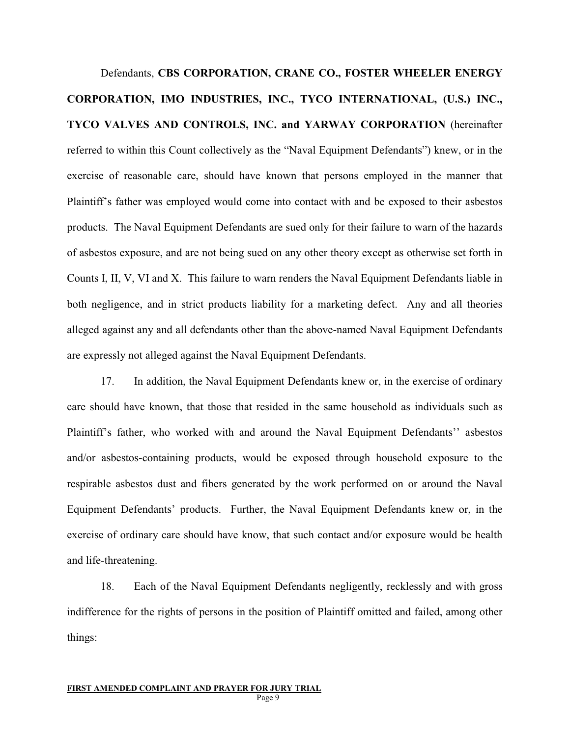Defendants, **CBS CORPORATION, CRANE CO., FOSTER WHEELER ENERGY CORPORATION, IMO INDUSTRIES, INC., TYCO INTERNATIONAL, (U.S.) INC., TYCO VALVES AND CONTROLS, INC. and YARWAY CORPORATION** (hereinafter referred to within this Count collectively as the "Naval Equipment Defendants") knew, or in the exercise of reasonable care, should have known that persons employed in the manner that Plaintiff's father was employed would come into contact with and be exposed to their asbestos products. The Naval Equipment Defendants are sued only for their failure to warn of the hazards of asbestos exposure, and are not being sued on any other theory except as otherwise set forth in Counts I, II, V, VI and X. This failure to warn renders the Naval Equipment Defendants liable in both negligence, and in strict products liability for a marketing defect. Any and all theories alleged against any and all defendants other than the above-named Naval Equipment Defendants are expressly not alleged against the Naval Equipment Defendants.

17. In addition, the Naval Equipment Defendants knew or, in the exercise of ordinary care should have known, that those that resided in the same household as individuals such as Plaintiff's father, who worked with and around the Naval Equipment Defendants'' asbestos and/or asbestos-containing products, would be exposed through household exposure to the respirable asbestos dust and fibers generated by the work performed on or around the Naval Equipment Defendants' products. Further, the Naval Equipment Defendants knew or, in the exercise of ordinary care should have know, that such contact and/or exposure would be health and life-threatening.

18. Each of the Naval Equipment Defendants negligently, recklessly and with gross indifference for the rights of persons in the position of Plaintiff omitted and failed, among other things: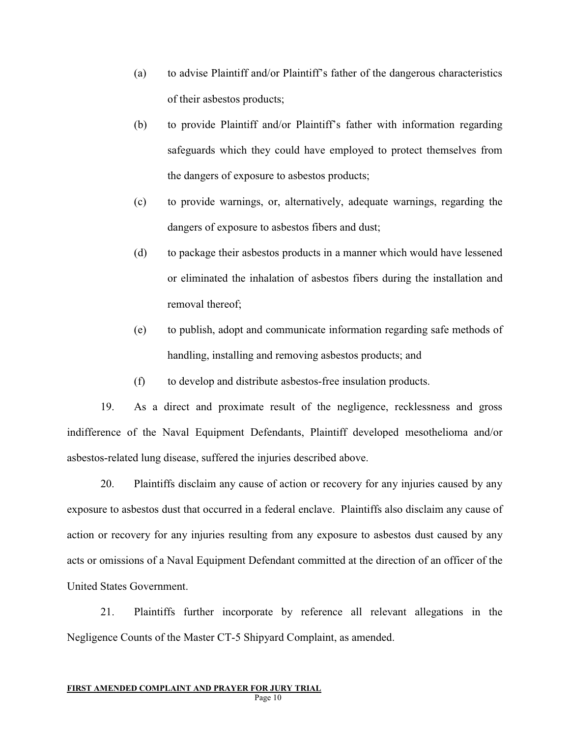- (a) to advise Plaintiff and/or Plaintiff's father of the dangerous characteristics of their asbestos products;
- (b) to provide Plaintiff and/or Plaintiff's father with information regarding safeguards which they could have employed to protect themselves from the dangers of exposure to asbestos products;
- (c) to provide warnings, or, alternatively, adequate warnings, regarding the dangers of exposure to asbestos fibers and dust;
- (d) to package their asbestos products in a manner which would have lessened or eliminated the inhalation of asbestos fibers during the installation and removal thereof;
- (e) to publish, adopt and communicate information regarding safe methods of handling, installing and removing asbestos products; and
- (f) to develop and distribute asbestos-free insulation products.

19. As a direct and proximate result of the negligence, recklessness and gross indifference of the Naval Equipment Defendants, Plaintiff developed mesothelioma and/or asbestos-related lung disease, suffered the injuries described above.

20. Plaintiffs disclaim any cause of action or recovery for any injuries caused by any exposure to asbestos dust that occurred in a federal enclave. Plaintiffs also disclaim any cause of action or recovery for any injuries resulting from any exposure to asbestos dust caused by any acts or omissions of a Naval Equipment Defendant committed at the direction of an officer of the United States Government.

21. Plaintiffs further incorporate by reference all relevant allegations in the Negligence Counts of the Master CT-5 Shipyard Complaint, as amended.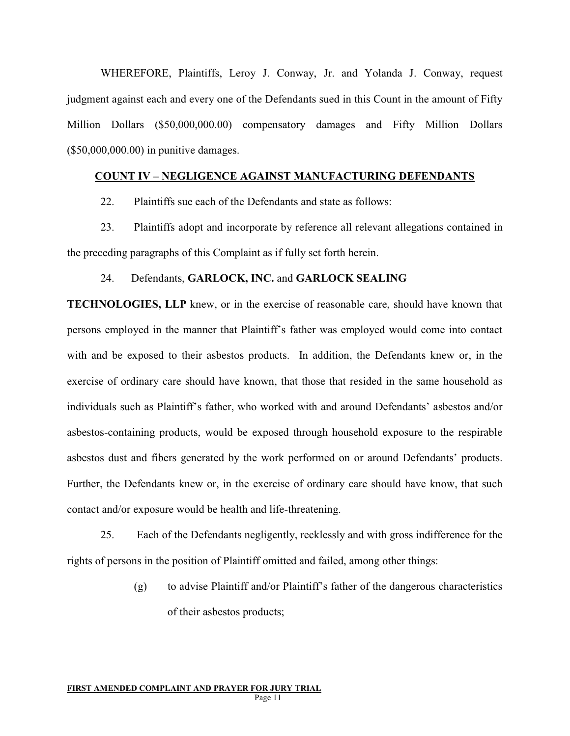WHEREFORE, Plaintiffs, Leroy J. Conway, Jr. and Yolanda J. Conway, request judgment against each and every one of the Defendants sued in this Count in the amount of Fifty Million Dollars (\$50,000,000.00) compensatory damages and Fifty Million Dollars (\$50,000,000.00) in punitive damages.

## **COUNT IV – NEGLIGENCE AGAINST MANUFACTURING DEFENDANTS**

22. Plaintiffs sue each of the Defendants and state as follows:

23. Plaintiffs adopt and incorporate by reference all relevant allegations contained in the preceding paragraphs of this Complaint as if fully set forth herein.

### 24. Defendants, **GARLOCK, INC.** and **GARLOCK SEALING**

**TECHNOLOGIES, LLP** knew, or in the exercise of reasonable care, should have known that persons employed in the manner that Plaintiff's father was employed would come into contact with and be exposed to their asbestos products. In addition, the Defendants knew or, in the exercise of ordinary care should have known, that those that resided in the same household as individuals such as Plaintiff's father, who worked with and around Defendants' asbestos and/or asbestos-containing products, would be exposed through household exposure to the respirable asbestos dust and fibers generated by the work performed on or around Defendants' products. Further, the Defendants knew or, in the exercise of ordinary care should have know, that such contact and/or exposure would be health and life-threatening.

25. Each of the Defendants negligently, recklessly and with gross indifference for the rights of persons in the position of Plaintiff omitted and failed, among other things:

> (g) to advise Plaintiff and/or Plaintiff's father of the dangerous characteristics of their asbestos products;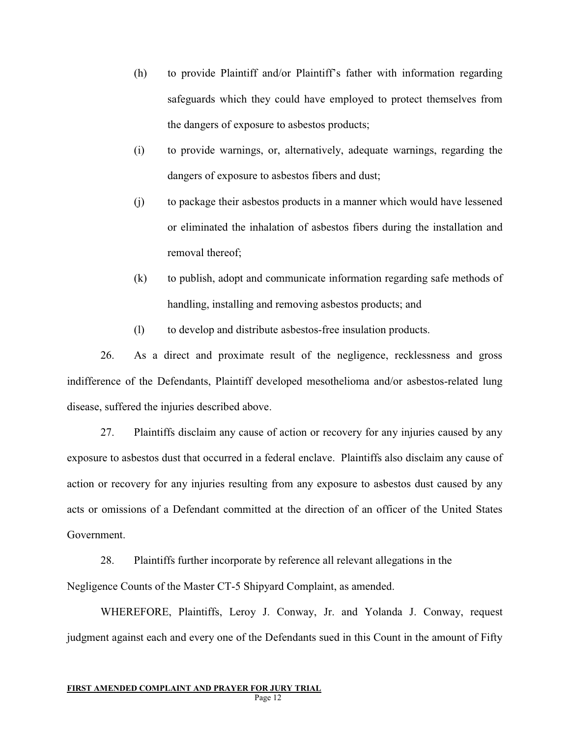- (h) to provide Plaintiff and/or Plaintiff's father with information regarding safeguards which they could have employed to protect themselves from the dangers of exposure to asbestos products;
- (i) to provide warnings, or, alternatively, adequate warnings, regarding the dangers of exposure to asbestos fibers and dust;
- (j) to package their asbestos products in a manner which would have lessened or eliminated the inhalation of asbestos fibers during the installation and removal thereof;
- (k) to publish, adopt and communicate information regarding safe methods of handling, installing and removing asbestos products; and
- (l) to develop and distribute asbestos-free insulation products.

26. As a direct and proximate result of the negligence, recklessness and gross indifference of the Defendants, Plaintiff developed mesothelioma and/or asbestos-related lung disease, suffered the injuries described above.

27. Plaintiffs disclaim any cause of action or recovery for any injuries caused by any exposure to asbestos dust that occurred in a federal enclave. Plaintiffs also disclaim any cause of action or recovery for any injuries resulting from any exposure to asbestos dust caused by any acts or omissions of a Defendant committed at the direction of an officer of the United States Government.

28. Plaintiffs further incorporate by reference all relevant allegations in the Negligence Counts of the Master CT-5 Shipyard Complaint, as amended.

WHEREFORE, Plaintiffs, Leroy J. Conway, Jr. and Yolanda J. Conway, request judgment against each and every one of the Defendants sued in this Count in the amount of Fifty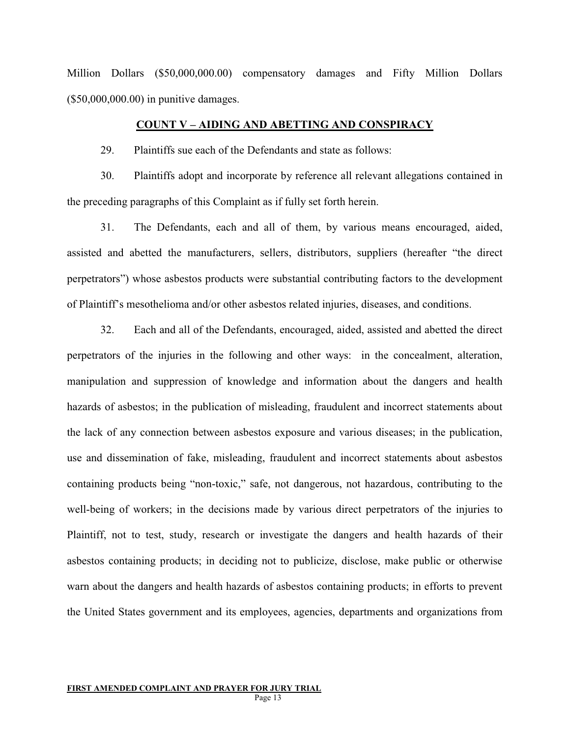Million Dollars (\$50,000,000.00) compensatory damages and Fifty Million Dollars (\$50,000,000.00) in punitive damages.

#### **COUNT V – AIDING AND ABETTING AND CONSPIRACY**

29. Plaintiffs sue each of the Defendants and state as follows:

30. Plaintiffs adopt and incorporate by reference all relevant allegations contained in the preceding paragraphs of this Complaint as if fully set forth herein.

31. The Defendants, each and all of them, by various means encouraged, aided, assisted and abetted the manufacturers, sellers, distributors, suppliers (hereafter "the direct perpetrators") whose asbestos products were substantial contributing factors to the development of Plaintiff's mesothelioma and/or other asbestos related injuries, diseases, and conditions.

32. Each and all of the Defendants, encouraged, aided, assisted and abetted the direct perpetrators of the injuries in the following and other ways: in the concealment, alteration, manipulation and suppression of knowledge and information about the dangers and health hazards of asbestos; in the publication of misleading, fraudulent and incorrect statements about the lack of any connection between asbestos exposure and various diseases; in the publication, use and dissemination of fake, misleading, fraudulent and incorrect statements about asbestos containing products being "non-toxic," safe, not dangerous, not hazardous, contributing to the well-being of workers; in the decisions made by various direct perpetrators of the injuries to Plaintiff, not to test, study, research or investigate the dangers and health hazards of their asbestos containing products; in deciding not to publicize, disclose, make public or otherwise warn about the dangers and health hazards of asbestos containing products; in efforts to prevent the United States government and its employees, agencies, departments and organizations from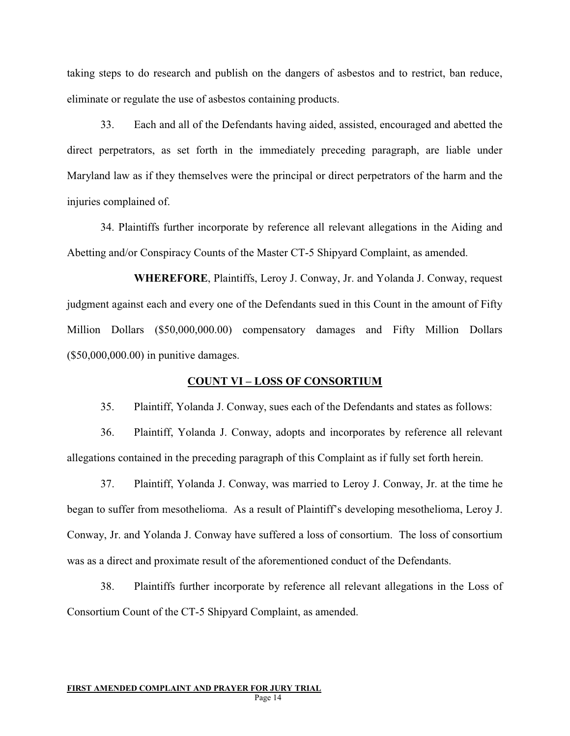taking steps to do research and publish on the dangers of asbestos and to restrict, ban reduce, eliminate or regulate the use of asbestos containing products.

33. Each and all of the Defendants having aided, assisted, encouraged and abetted the direct perpetrators, as set forth in the immediately preceding paragraph, are liable under Maryland law as if they themselves were the principal or direct perpetrators of the harm and the injuries complained of.

34. Plaintiffs further incorporate by reference all relevant allegations in the Aiding and Abetting and/or Conspiracy Counts of the Master CT-5 Shipyard Complaint, as amended.

**WHEREFORE**, Plaintiffs, Leroy J. Conway, Jr. and Yolanda J. Conway, request judgment against each and every one of the Defendants sued in this Count in the amount of Fifty Million Dollars (\$50,000,000.00) compensatory damages and Fifty Million Dollars (\$50,000,000.00) in punitive damages.

### **COUNT VI – LOSS OF CONSORTIUM**

35. Plaintiff, Yolanda J. Conway, sues each of the Defendants and states as follows:

36. Plaintiff, Yolanda J. Conway, adopts and incorporates by reference all relevant allegations contained in the preceding paragraph of this Complaint as if fully set forth herein.

37. Plaintiff, Yolanda J. Conway, was married to Leroy J. Conway, Jr. at the time he began to suffer from mesothelioma. As a result of Plaintiff's developing mesothelioma, Leroy J. Conway, Jr. and Yolanda J. Conway have suffered a loss of consortium. The loss of consortium was as a direct and proximate result of the aforementioned conduct of the Defendants.

38. Plaintiffs further incorporate by reference all relevant allegations in the Loss of Consortium Count of the CT-5 Shipyard Complaint, as amended.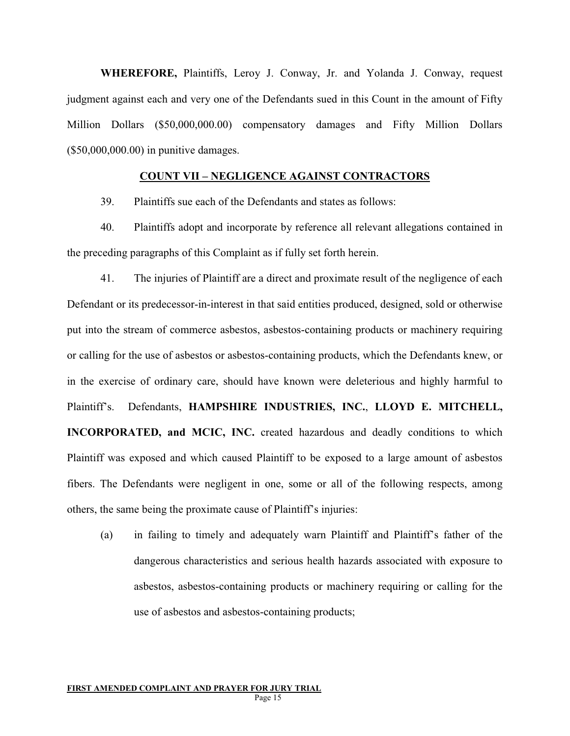**WHEREFORE,** Plaintiffs, Leroy J. Conway, Jr. and Yolanda J. Conway, request judgment against each and very one of the Defendants sued in this Count in the amount of Fifty Million Dollars (\$50,000,000.00) compensatory damages and Fifty Million Dollars (\$50,000,000.00) in punitive damages.

## **COUNT VII – NEGLIGENCE AGAINST CONTRACTORS**

39. Plaintiffs sue each of the Defendants and states as follows:

40. Plaintiffs adopt and incorporate by reference all relevant allegations contained in the preceding paragraphs of this Complaint as if fully set forth herein.

41. The injuries of Plaintiff are a direct and proximate result of the negligence of each Defendant or its predecessor-in-interest in that said entities produced, designed, sold or otherwise put into the stream of commerce asbestos, asbestos-containing products or machinery requiring or calling for the use of asbestos or asbestos-containing products, which the Defendants knew, or in the exercise of ordinary care, should have known were deleterious and highly harmful to Plaintiff's. Defendants, **HAMPSHIRE INDUSTRIES, INC.**, **LLOYD E. MITCHELL, INCORPORATED, and MCIC, INC.** created hazardous and deadly conditions to which Plaintiff was exposed and which caused Plaintiff to be exposed to a large amount of asbestos fibers. The Defendants were negligent in one, some or all of the following respects, among others, the same being the proximate cause of Plaintiff's injuries:

(a) in failing to timely and adequately warn Plaintiff and Plaintiff's father of the dangerous characteristics and serious health hazards associated with exposure to asbestos, asbestos-containing products or machinery requiring or calling for the use of asbestos and asbestos-containing products;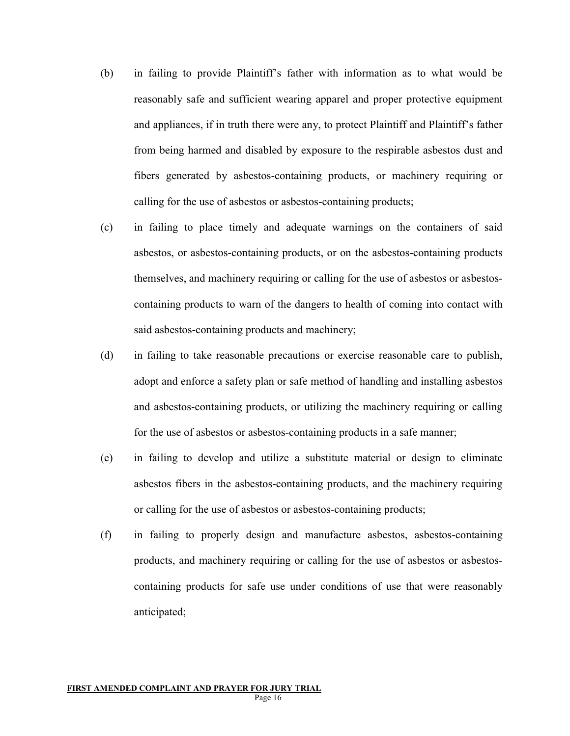- (b) in failing to provide Plaintiff's father with information as to what would be reasonably safe and sufficient wearing apparel and proper protective equipment and appliances, if in truth there were any, to protect Plaintiff and Plaintiff's father from being harmed and disabled by exposure to the respirable asbestos dust and fibers generated by asbestos-containing products, or machinery requiring or calling for the use of asbestos or asbestos-containing products;
- (c) in failing to place timely and adequate warnings on the containers of said asbestos, or asbestos-containing products, or on the asbestos-containing products themselves, and machinery requiring or calling for the use of asbestos or asbestoscontaining products to warn of the dangers to health of coming into contact with said asbestos-containing products and machinery;
- (d) in failing to take reasonable precautions or exercise reasonable care to publish, adopt and enforce a safety plan or safe method of handling and installing asbestos and asbestos-containing products, or utilizing the machinery requiring or calling for the use of asbestos or asbestos-containing products in a safe manner;
- (e) in failing to develop and utilize a substitute material or design to eliminate asbestos fibers in the asbestos-containing products, and the machinery requiring or calling for the use of asbestos or asbestos-containing products;
- (f) in failing to properly design and manufacture asbestos, asbestos-containing products, and machinery requiring or calling for the use of asbestos or asbestoscontaining products for safe use under conditions of use that were reasonably anticipated;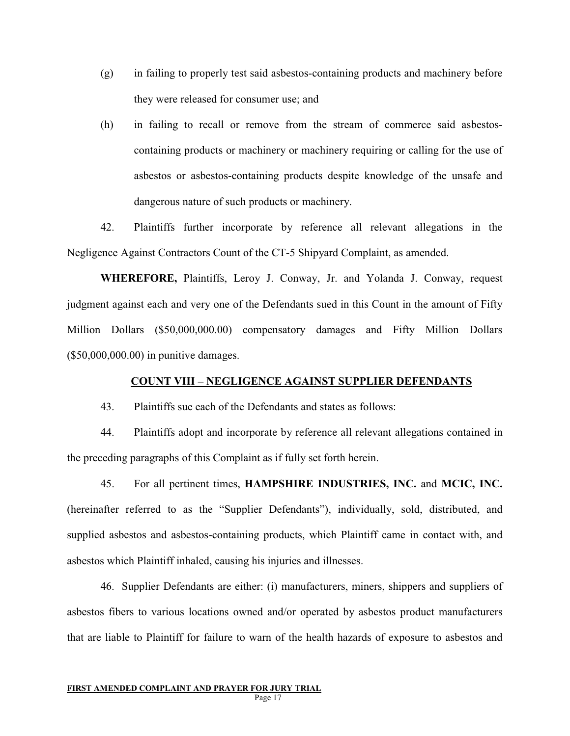- (g) in failing to properly test said asbestos-containing products and machinery before they were released for consumer use; and
- (h) in failing to recall or remove from the stream of commerce said asbestoscontaining products or machinery or machinery requiring or calling for the use of asbestos or asbestos-containing products despite knowledge of the unsafe and dangerous nature of such products or machinery.

42. Plaintiffs further incorporate by reference all relevant allegations in the Negligence Against Contractors Count of the CT-5 Shipyard Complaint, as amended.

**WHEREFORE,** Plaintiffs, Leroy J. Conway, Jr. and Yolanda J. Conway, request judgment against each and very one of the Defendants sued in this Count in the amount of Fifty Million Dollars (\$50,000,000.00) compensatory damages and Fifty Million Dollars (\$50,000,000.00) in punitive damages.

### **COUNT VIII – NEGLIGENCE AGAINST SUPPLIER DEFENDANTS**

43. Plaintiffs sue each of the Defendants and states as follows:

44. Plaintiffs adopt and incorporate by reference all relevant allegations contained in the preceding paragraphs of this Complaint as if fully set forth herein.

45. For all pertinent times, **HAMPSHIRE INDUSTRIES, INC.** and **MCIC, INC.**  (hereinafter referred to as the "Supplier Defendants"), individually, sold, distributed, and supplied asbestos and asbestos-containing products, which Plaintiff came in contact with, and asbestos which Plaintiff inhaled, causing his injuries and illnesses.

46. Supplier Defendants are either: (i) manufacturers, miners, shippers and suppliers of asbestos fibers to various locations owned and/or operated by asbestos product manufacturers that are liable to Plaintiff for failure to warn of the health hazards of exposure to asbestos and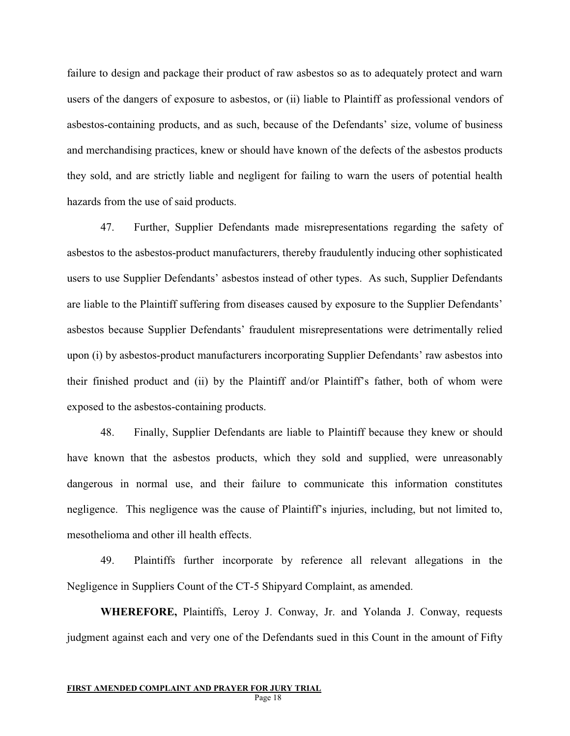failure to design and package their product of raw asbestos so as to adequately protect and warn users of the dangers of exposure to asbestos, or (ii) liable to Plaintiff as professional vendors of asbestos-containing products, and as such, because of the Defendants' size, volume of business and merchandising practices, knew or should have known of the defects of the asbestos products they sold, and are strictly liable and negligent for failing to warn the users of potential health hazards from the use of said products.

47. Further, Supplier Defendants made misrepresentations regarding the safety of asbestos to the asbestos-product manufacturers, thereby fraudulently inducing other sophisticated users to use Supplier Defendants' asbestos instead of other types. As such, Supplier Defendants are liable to the Plaintiff suffering from diseases caused by exposure to the Supplier Defendants' asbestos because Supplier Defendants' fraudulent misrepresentations were detrimentally relied upon (i) by asbestos-product manufacturers incorporating Supplier Defendants' raw asbestos into their finished product and (ii) by the Plaintiff and/or Plaintiff's father, both of whom were exposed to the asbestos-containing products.

48. Finally, Supplier Defendants are liable to Plaintiff because they knew or should have known that the asbestos products, which they sold and supplied, were unreasonably dangerous in normal use, and their failure to communicate this information constitutes negligence. This negligence was the cause of Plaintiff's injuries, including, but not limited to, mesothelioma and other ill health effects.

49. Plaintiffs further incorporate by reference all relevant allegations in the Negligence in Suppliers Count of the CT-5 Shipyard Complaint, as amended.

**WHEREFORE,** Plaintiffs, Leroy J. Conway, Jr. and Yolanda J. Conway, requests judgment against each and very one of the Defendants sued in this Count in the amount of Fifty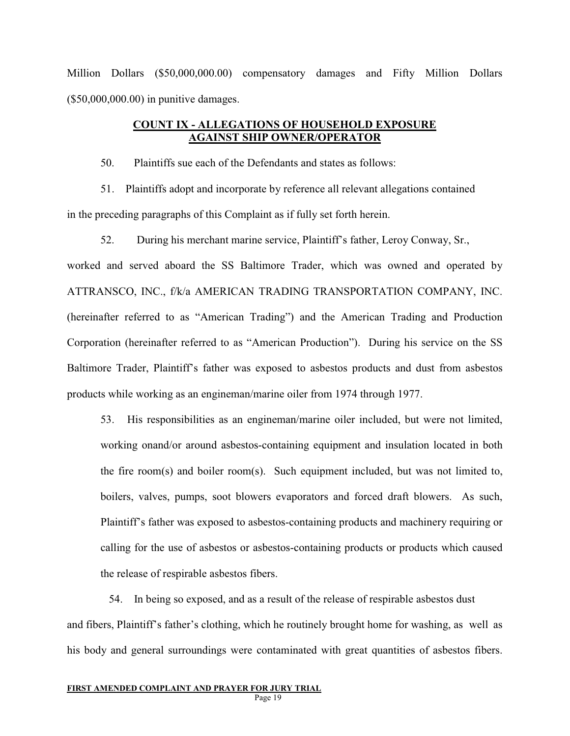Million Dollars (\$50,000,000.00) compensatory damages and Fifty Million Dollars (\$50,000,000.00) in punitive damages.

## **COUNT IX - ALLEGATIONS OF HOUSEHOLD EXPOSURE AGAINST SHIP OWNER/OPERATOR**

50. Plaintiffs sue each of the Defendants and states as follows:

51. Plaintiffs adopt and incorporate by reference all relevant allegations contained in the preceding paragraphs of this Complaint as if fully set forth herein.

52. During his merchant marine service, Plaintiff's father, Leroy Conway, Sr.,

worked and served aboard the SS Baltimore Trader, which was owned and operated by ATTRANSCO, INC., f/k/a AMERICAN TRADING TRANSPORTATION COMPANY, INC. (hereinafter referred to as "American Trading") and the American Trading and Production Corporation (hereinafter referred to as "American Production"). During his service on the SS Baltimore Trader, Plaintiff's father was exposed to asbestos products and dust from asbestos products while working as an engineman/marine oiler from 1974 through 1977.

53. His responsibilities as an engineman/marine oiler included, but were not limited, working onand/or around asbestos-containing equipment and insulation located in both the fire room(s) and boiler room(s). Such equipment included, but was not limited to, boilers, valves, pumps, soot blowers evaporators and forced draft blowers. As such, Plaintiff's father was exposed to asbestos-containing products and machinery requiring or calling for the use of asbestos or asbestos-containing products or products which caused the release of respirable asbestos fibers.

54. In being so exposed, and as a result of the release of respirable asbestos dust and fibers, Plaintiff's father's clothing, which he routinely brought home for washing, as well as his body and general surroundings were contaminated with great quantities of asbestos fibers.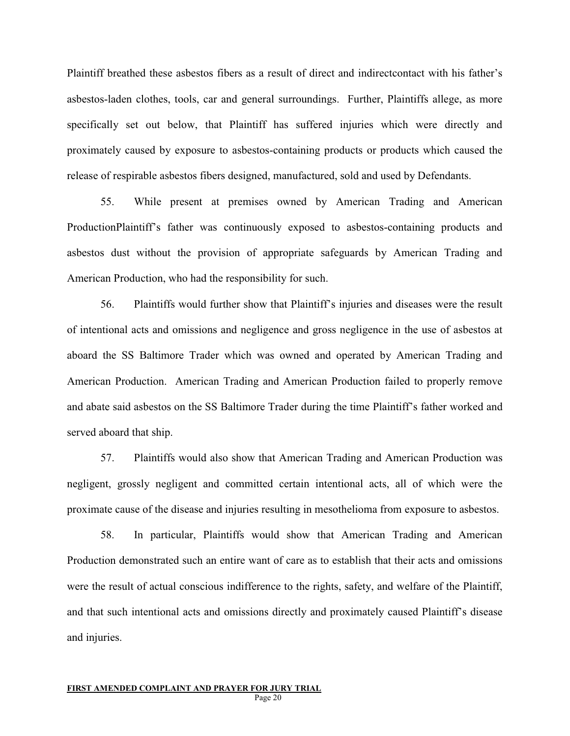Plaintiff breathed these asbestos fibers as a result of direct and indirectcontact with his father's asbestos-laden clothes, tools, car and general surroundings. Further, Plaintiffs allege, as more specifically set out below, that Plaintiff has suffered injuries which were directly and proximately caused by exposure to asbestos-containing products or products which caused the release of respirable asbestos fibers designed, manufactured, sold and used by Defendants.

55. While present at premises owned by American Trading and American ProductionPlaintiff's father was continuously exposed to asbestos-containing products and asbestos dust without the provision of appropriate safeguards by American Trading and American Production, who had the responsibility for such.

56. Plaintiffs would further show that Plaintiff's injuries and diseases were the result of intentional acts and omissions and negligence and gross negligence in the use of asbestos at aboard the SS Baltimore Trader which was owned and operated by American Trading and American Production. American Trading and American Production failed to properly remove and abate said asbestos on the SS Baltimore Trader during the time Plaintiff's father worked and served aboard that ship.

57. Plaintiffs would also show that American Trading and American Production was negligent, grossly negligent and committed certain intentional acts, all of which were the proximate cause of the disease and injuries resulting in mesothelioma from exposure to asbestos.

58. In particular, Plaintiffs would show that American Trading and American Production demonstrated such an entire want of care as to establish that their acts and omissions were the result of actual conscious indifference to the rights, safety, and welfare of the Plaintiff, and that such intentional acts and omissions directly and proximately caused Plaintiff's disease and injuries.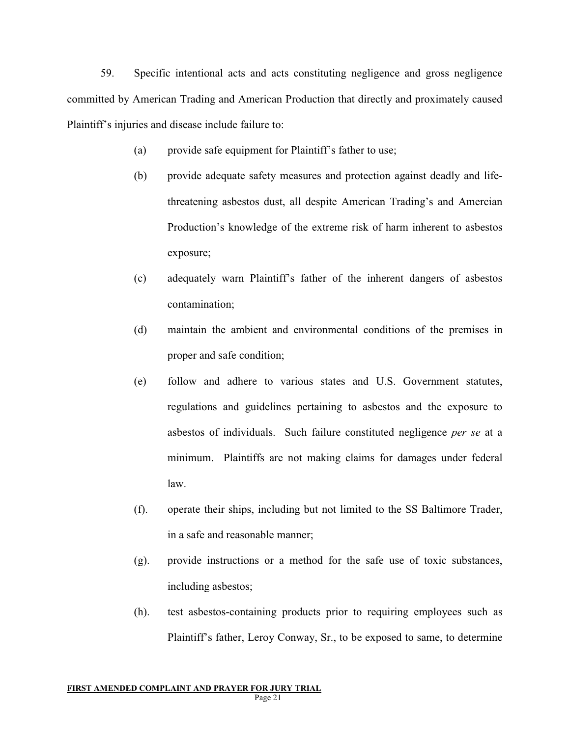59. Specific intentional acts and acts constituting negligence and gross negligence committed by American Trading and American Production that directly and proximately caused Plaintiff's injuries and disease include failure to:

- (a) provide safe equipment for Plaintiff's father to use;
- (b) provide adequate safety measures and protection against deadly and lifethreatening asbestos dust, all despite American Trading's and Amercian Production's knowledge of the extreme risk of harm inherent to asbestos exposure;
- (c) adequately warn Plaintiff's father of the inherent dangers of asbestos contamination;
- (d) maintain the ambient and environmental conditions of the premises in proper and safe condition;
- (e) follow and adhere to various states and U.S. Government statutes, regulations and guidelines pertaining to asbestos and the exposure to asbestos of individuals. Such failure constituted negligence *per se* at a minimum. Plaintiffs are not making claims for damages under federal law.
- (f). operate their ships, including but not limited to the SS Baltimore Trader, in a safe and reasonable manner;
- (g). provide instructions or a method for the safe use of toxic substances, including asbestos;
- (h). test asbestos-containing products prior to requiring employees such as Plaintiff's father, Leroy Conway, Sr., to be exposed to same, to determine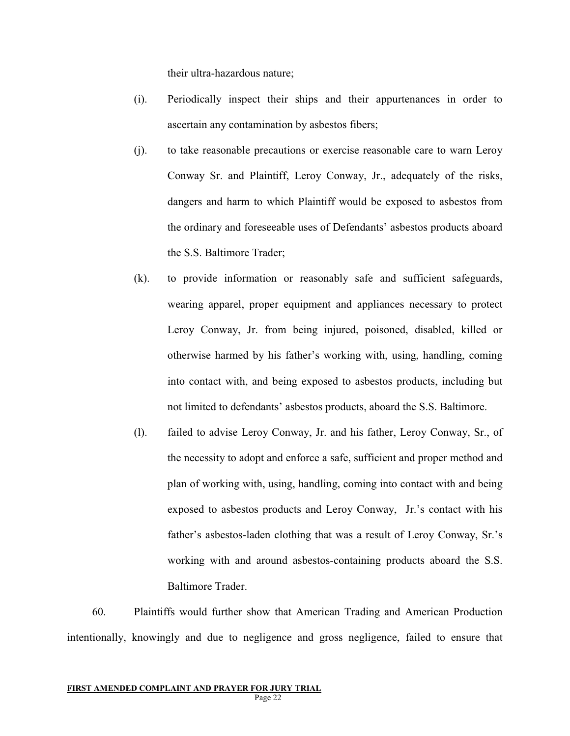their ultra-hazardous nature;

- (i). Periodically inspect their ships and their appurtenances in order to ascertain any contamination by asbestos fibers;
- (j). to take reasonable precautions or exercise reasonable care to warn Leroy Conway Sr. and Plaintiff, Leroy Conway, Jr., adequately of the risks, dangers and harm to which Plaintiff would be exposed to asbestos from the ordinary and foreseeable uses of Defendants' asbestos products aboard the S.S. Baltimore Trader;
- (k). to provide information or reasonably safe and sufficient safeguards, wearing apparel, proper equipment and appliances necessary to protect Leroy Conway, Jr. from being injured, poisoned, disabled, killed or otherwise harmed by his father's working with, using, handling, coming into contact with, and being exposed to asbestos products, including but not limited to defendants' asbestos products, aboard the S.S. Baltimore.
- (l). failed to advise Leroy Conway, Jr. and his father, Leroy Conway, Sr., of the necessity to adopt and enforce a safe, sufficient and proper method and plan of working with, using, handling, coming into contact with and being exposed to asbestos products and Leroy Conway, Jr.'s contact with his father's asbestos-laden clothing that was a result of Leroy Conway, Sr.'s working with and around asbestos-containing products aboard the S.S. Baltimore Trader.

60. Plaintiffs would further show that American Trading and American Production intentionally, knowingly and due to negligence and gross negligence, failed to ensure that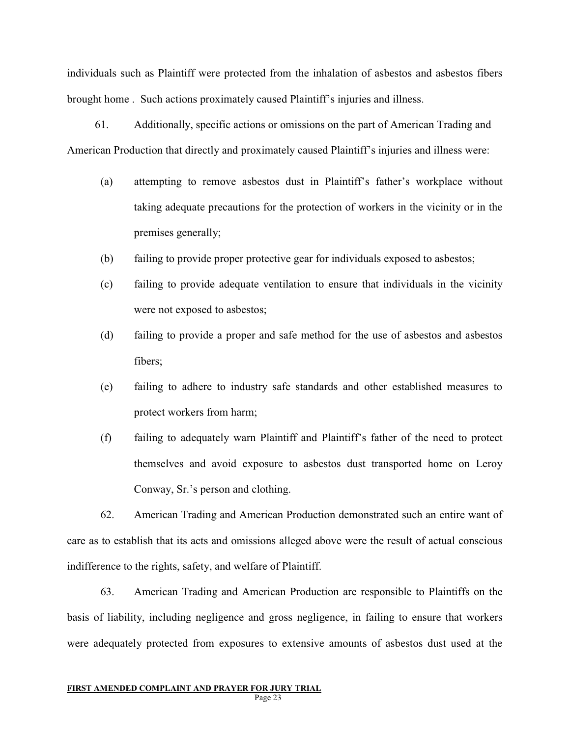individuals such as Plaintiff were protected from the inhalation of asbestos and asbestos fibers brought home . Such actions proximately caused Plaintiff's injuries and illness.

61. Additionally, specific actions or omissions on the part of American Trading and American Production that directly and proximately caused Plaintiff's injuries and illness were:

- (a) attempting to remove asbestos dust in Plaintiff's father's workplace without taking adequate precautions for the protection of workers in the vicinity or in the premises generally;
- (b) failing to provide proper protective gear for individuals exposed to asbestos;
- (c) failing to provide adequate ventilation to ensure that individuals in the vicinity were not exposed to asbestos;
- (d) failing to provide a proper and safe method for the use of asbestos and asbestos fibers;
- (e) failing to adhere to industry safe standards and other established measures to protect workers from harm;
- (f) failing to adequately warn Plaintiff and Plaintiff's father of the need to protect themselves and avoid exposure to asbestos dust transported home on Leroy Conway, Sr.'s person and clothing.

62. American Trading and American Production demonstrated such an entire want of care as to establish that its acts and omissions alleged above were the result of actual conscious indifference to the rights, safety, and welfare of Plaintiff.

63. American Trading and American Production are responsible to Plaintiffs on the basis of liability, including negligence and gross negligence, in failing to ensure that workers were adequately protected from exposures to extensive amounts of asbestos dust used at the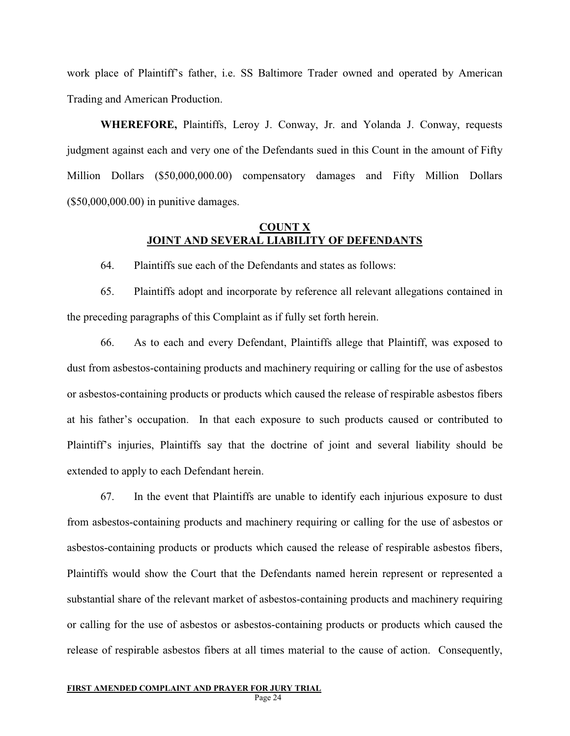work place of Plaintiff's father, i.e. SS Baltimore Trader owned and operated by American Trading and American Production.

**WHEREFORE,** Plaintiffs, Leroy J. Conway, Jr. and Yolanda J. Conway, requests judgment against each and very one of the Defendants sued in this Count in the amount of Fifty Million Dollars (\$50,000,000.00) compensatory damages and Fifty Million Dollars (\$50,000,000.00) in punitive damages.

### **COUNT X JOINT AND SEVERAL LIABILITY OF DEFENDANTS**

64. Plaintiffs sue each of the Defendants and states as follows:

65. Plaintiffs adopt and incorporate by reference all relevant allegations contained in the preceding paragraphs of this Complaint as if fully set forth herein.

66. As to each and every Defendant, Plaintiffs allege that Plaintiff, was exposed to dust from asbestos-containing products and machinery requiring or calling for the use of asbestos or asbestos-containing products or products which caused the release of respirable asbestos fibers at his father's occupation. In that each exposure to such products caused or contributed to Plaintiff's injuries, Plaintiffs say that the doctrine of joint and several liability should be extended to apply to each Defendant herein.

67. In the event that Plaintiffs are unable to identify each injurious exposure to dust from asbestos-containing products and machinery requiring or calling for the use of asbestos or asbestos-containing products or products which caused the release of respirable asbestos fibers, Plaintiffs would show the Court that the Defendants named herein represent or represented a substantial share of the relevant market of asbestos-containing products and machinery requiring or calling for the use of asbestos or asbestos-containing products or products which caused the release of respirable asbestos fibers at all times material to the cause of action. Consequently,